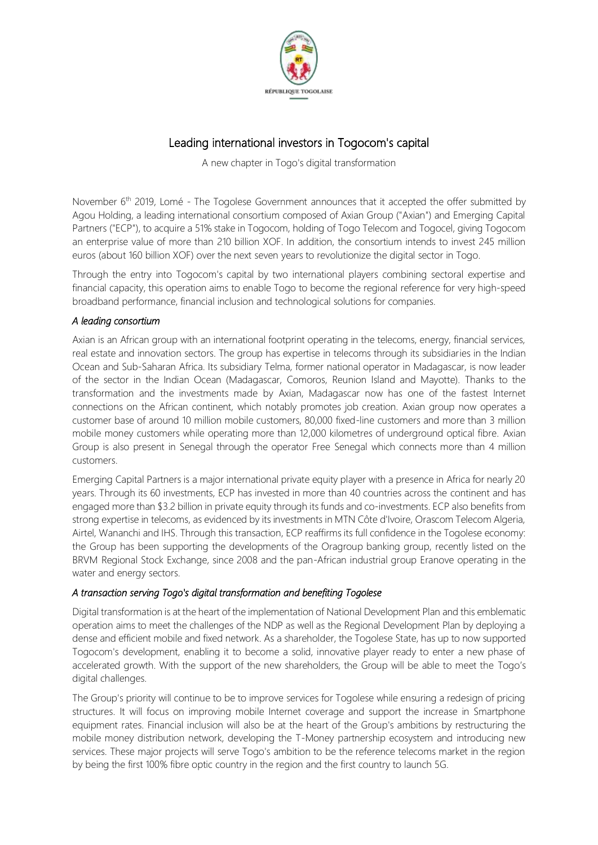

# Leading international investors in Togocom's capital

A new chapter in Togo's digital transformation

November 6<sup>th</sup> 2019, Lomé - The Togolese Government announces that it accepted the offer submitted by Agou Holding, a leading international consortium composed of Axian Group ("Axian") and Emerging Capital Partners ("ECP"), to acquire a 51% stake in Togocom, holding of Togo Telecom and Togocel, giving Togocom an enterprise value of more than 210 billion XOF. In addition, the consortium intends to invest 245 million euros (about 160 billion XOF) over the next seven years to revolutionize the digital sector in Togo.

Through the entry into Togocom's capital by two international players combining sectoral expertise and financial capacity, this operation aims to enable Togo to become the regional reference for very high-speed broadband performance, financial inclusion and technological solutions for companies.

# *A leading consortium*

Axian is an African group with an international footprint operating in the telecoms, energy, financial services, real estate and innovation sectors. The group has expertise in telecoms through its subsidiaries in the Indian Ocean and Sub-Saharan Africa. Its subsidiary Telma, former national operator in Madagascar, is now leader of the sector in the Indian Ocean (Madagascar, Comoros, Reunion Island and Mayotte). Thanks to the transformation and the investments made by Axian, Madagascar now has one of the fastest Internet connections on the African continent, which notably promotes job creation. Axian group now operates a customer base of around 10 million mobile customers, 80,000 fixed-line customers and more than 3 million mobile money customers while operating more than 12,000 kilometres of underground optical fibre. Axian Group is also present in Senegal through the operator Free Senegal which connects more than 4 million customers.

Emerging Capital Partners is a major international private equity player with a presence in Africa for nearly 20 years. Through its 60 investments, ECP has invested in more than 40 countries across the continent and has engaged more than \$3.2 billion in private equity through its funds and co-investments. ECP also benefits from strong expertise in telecoms, as evidenced by its investments in MTN Côte d'Ivoire, Orascom Telecom Algeria, Airtel, Wananchi and IHS. Through this transaction, ECP reaffirms its full confidence in the Togolese economy: the Group has been supporting the developments of the Oragroup banking group, recently listed on the BRVM Regional Stock Exchange, since 2008 and the pan-African industrial group Eranove operating in the water and energy sectors.

# *A transaction serving Togo's digital transformation and benefiting Togolese*

Digital transformation is at the heart of the implementation of National Development Plan and this emblematic operation aims to meet the challenges of the NDP as well as the Regional Development Plan by deploying a dense and efficient mobile and fixed network. As a shareholder, the Togolese State, has up to now supported Togocom's development, enabling it to become a solid, innovative player ready to enter a new phase of accelerated growth. With the support of the new shareholders, the Group will be able to meet the Togo's digital challenges.

The Group's priority will continue to be to improve services for Togolese while ensuring a redesign of pricing structures. It will focus on improving mobile Internet coverage and support the increase in Smartphone equipment rates. Financial inclusion will also be at the heart of the Group's ambitions by restructuring the mobile money distribution network, developing the T-Money partnership ecosystem and introducing new services. These major projects will serve Togo's ambition to be the reference telecoms market in the region by being the first 100% fibre optic country in the region and the first country to launch 5G.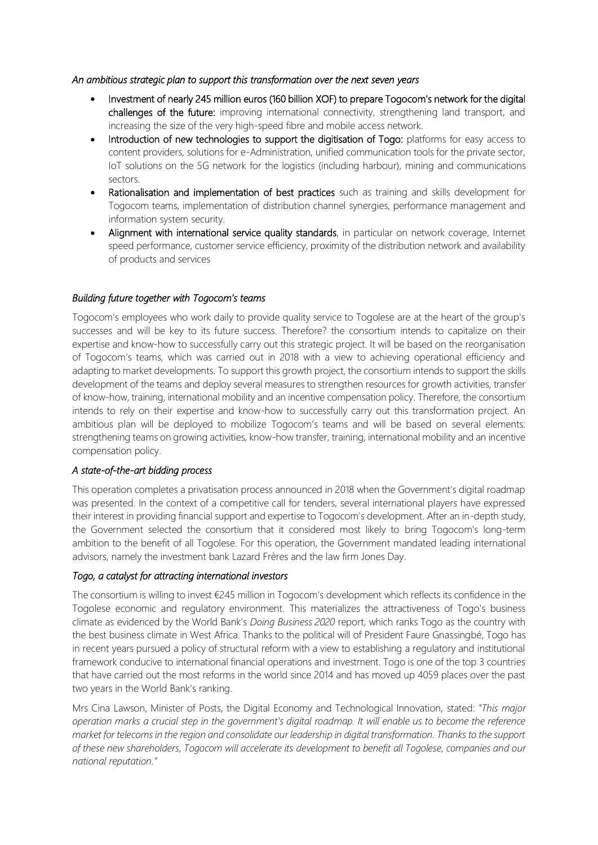### *An ambitious strategic plan to support this transformation over the next seven years*

- Investment of nearly 245 million euros (160 billion XOF) to prepare Togocom's network for the digital challenges of the future: improving international connectivity, strengthening land transport, and increasing the size of the very high-speed fibre and mobile access network.
- Introduction of new technologies to support the digitisation of Togo: platforms for easy access to content providers, solutions for e-Administration, unified communication tools for the private sector, IoT solutions on the 5G network for the logistics (including harbour), mining and communications sectors.
- Rationalisation and implementation of best practices such as training and skills development for Togocom teams, implementation of distribution channel synergies, performance management and information system security.
- Alignment with international service quality standards, in particular on network coverage, Internet speed performance, customer service efficiency, proximity of the distribution network and availability of products and services

# *Building future together with Togocom's teams*

Togocom's employees who work daily to provide quality service to Togolese are at the heart of the group's successes and will be key to its future success. Therefore? the consortium intends to capitalize on their expertise and know-how to successfully carry out this strategic project. It will be based on the reorganisation of Togocom's teams, which was carried out in 2018 with a view to achieving operational efficiency and adapting to market developments. To support this growth project, the consortium intends to support the skills development of the teams and deploy several measures to strengthen resources for growth activities, transfer of know-how, training, international mobility and an incentive compensation policy. Therefore, the consortium intends to rely on their expertise and know-how to successfully carry out this transformation project. An ambitious plan will be deployed to mobilize Togocom's teams and will be based on several elements: strengthening teams on growing activities, know-how transfer, training, international mobility and an incentive compensation policy.

# *A state-of-the-art bidding process*

This operation completes a privatisation process announced in 2018 when the Government's digital roadmap was presented. In the context of a competitive call for tenders, several international players have expressed their interest in providing financial support and expertise to Togocom's development. After an in-depth study, the Government selected the consortium that it considered most likely to bring Togocom's long-term ambition to the benefit of all Togolese. For this operation, the Government mandated leading international advisors, namely the investment bank Lazard Frères and the law firm Jones Day.

### *Togo, a catalyst for attracting international investors*

The consortium is willing to invest €245 million in Togocom's development which reflects its confidence in the Togolese economic and regulatory environment. This materializes the attractiveness of Togo's business climate as evidenced by the World Bank's *Doing Business 2020* report, which ranks Togo as the country with the best business climate in West Africa. Thanks to the political will of President Faure Gnassingbé, Togo has in recent years pursued a policy of structural reform with a view to establishing a regulatory and institutional framework conducive to international financial operations and investment. Togo is one of the top 3 countries that have carried out the most reforms in the world since 2014 and has moved up 4059 places over the past two years in the World Bank's ranking.

Mrs Cina Lawson, Minister of Posts, the Digital Economy and Technological Innovation, stated: *"This major operation marks a crucial step in the government's digital roadmap. It will enable us to become the reference market for telecoms in the region and consolidate our leadership in digital transformation. Thanks to the support of these new shareholders, Togocom will accelerate its development to benefit all Togolese, companies and our national reputation."*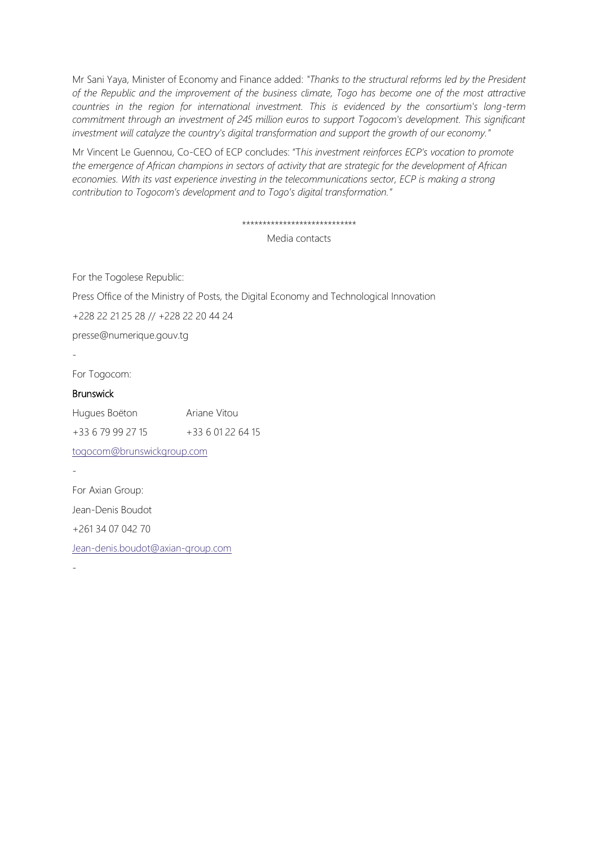Mr Sani Yaya, Minister of Economy and Finance added: *"Thanks to the structural reforms led by the President of the Republic and the improvement of the business climate, Togo has become one of the most attractive countries in the region for international investment. This is evidenced by the consortium's long-term commitment through an investment of 245 million euros to support Togocom's development. This significant investment will catalyze the country's digital transformation and support the growth of our economy."*

Mr Vincent Le Guennou, Co-CEO of ECP concludes: "T*his investment reinforces ECP's vocation to promote the emergence of African champions in sectors of activity that are strategic for the development of African economies. With its vast experience investing in the telecommunications sector, ECP is making a strong contribution to Togocom's development and to Togo's digital transformation."*

#### \*\*\*\*\*\*\*\*\*\*\*\*\*\*\*\*\*\*\*\*\*\*\*\*\*\*\*\*

Media contacts

For the Togolese Republic:

Press Office of the Ministry of Posts, the Digital Economy and Technological Innovation

+228 22 21 25 28 // +228 22 20 44 24

[presse@numerique.gouv.tg](mailto:presse@numerique.gouv.tg)

-

-

For Togocom:

# Brunswick

| Hugues Boëton              | Ariane Vitou      |
|----------------------------|-------------------|
| +33 6 79 99 27 15          | +33 6 01 22 64 15 |
| togocom@brunswickgroup.com |                   |
|                            |                   |
| For Axian Group:           |                   |
| Jean-Denis Boudot          |                   |

+261 34 07 042 70

[Jean-denis.boudot@axian-group.com](mailto:Jean-denis.boudot@axian-group.com)